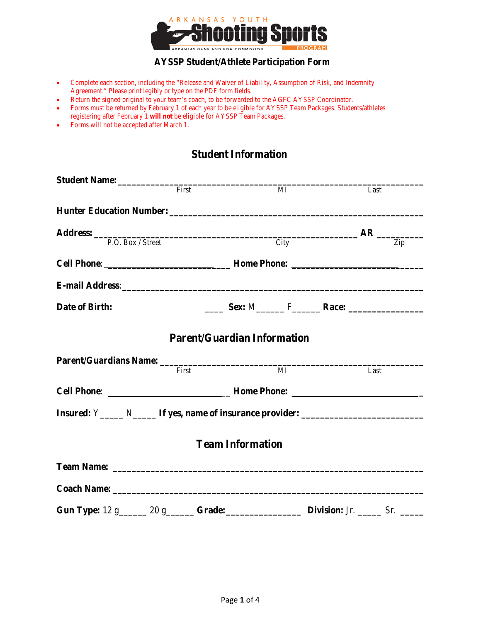

### **AYSSP Student/Athlete Participation Form**

- Complete each section, including the "Release and Waiver of Liability, Assumption of Risk, and Indemnity Agreement." Please print legibly or type on the PDF form fields.
- Return the signed original to your team's coach, to be forwarded to the AGFC AYSSP Coordinator.
- Forms must be returned by February 1 of each year to be eligible for AYSSP Team Packages. Students/athletes registering after February 1 **will not** be eligible for AYSSP Team Packages.
- Forms will not be accepted after March 1.

# **Student Information**

|                                                                                   | First |  | MI             | Last                                                                                                                                                                                                                                                           |
|-----------------------------------------------------------------------------------|-------|--|----------------|----------------------------------------------------------------------------------------------------------------------------------------------------------------------------------------------------------------------------------------------------------------|
|                                                                                   |       |  |                |                                                                                                                                                                                                                                                                |
|                                                                                   |       |  |                |                                                                                                                                                                                                                                                                |
|                                                                                   |       |  |                | Address: $R = R$ $R = 2$ $R = 2$ $R = 2$ $R = 2$ $R = 2$ $R = 2$ $R = 2$ $R = 2$ $R = 2$ $R = 2$ $R = 2$ $R = 2$ $R = 2$ $R = 2$ $R = 2$ $R = 2$ $R = 2$ $R = 2$ $R = 2$ $R = 2$ $R = 2$ $R = 2$ $R = 2$ $R = 2$ $R = 2$ $R = 2$ $R = 2$ $R = 2$ $R = 2$ $R =$ |
|                                                                                   |       |  |                |                                                                                                                                                                                                                                                                |
|                                                                                   |       |  |                |                                                                                                                                                                                                                                                                |
| Date of Birth:                                                                    |       |  |                |                                                                                                                                                                                                                                                                |
| <b>Parent/Guardian Information</b>                                                |       |  |                |                                                                                                                                                                                                                                                                |
|                                                                                   | First |  | $\overline{M}$ | Last                                                                                                                                                                                                                                                           |
|                                                                                   |       |  |                | Cell Phone: ________________________________Home Phone: _________________________                                                                                                                                                                              |
| Insured: Y______ N_______ If yes, name of insurance provider: ___________________ |       |  |                |                                                                                                                                                                                                                                                                |
| <b>Team Information</b>                                                           |       |  |                |                                                                                                                                                                                                                                                                |
|                                                                                   |       |  |                |                                                                                                                                                                                                                                                                |
|                                                                                   |       |  |                |                                                                                                                                                                                                                                                                |
|                                                                                   |       |  |                | Gun Type: 12 g______ 20 g______ Grade: Division: Jr. _____ Sr. _____                                                                                                                                                                                           |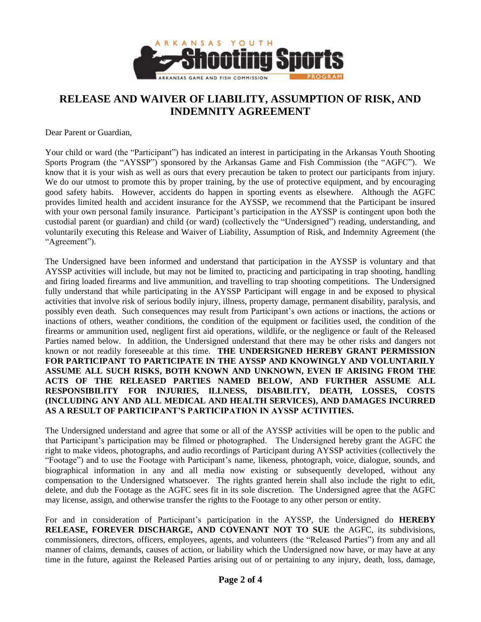

# **RELEASE AND WAIVER OF LIABILITY, ASSUMPTION OF RISK, AND INDEMNITY AGREEMENT**

Dear Parent or Guardian,

Your child or ward (the "Participant") has indicated an interest in participating in the Arkansas Youth Shooting Sports Program (the "AYSSP") sponsored by the Arkansas Game and Fish Commission (the "AGFC"). We know that it is your wish as well as ours that every precaution be taken to protect our participants from injury. We do our utmost to promote this by proper training, by the use of protective equipment, and by encouraging good safety habits. However, accidents do happen in sporting events as elsewhere. Although the AGFC provides limited health and accident insurance for the AYSSP, we recommend that the Participant be insured with your own personal family insurance. Participant's participation in the AYSSP is contingent upon both the custodial parent (or guardian) and child (or ward) (collectively the "Undersigned") reading, understanding, and voluntarily executing this Release and Waiver of Liability, Assumption of Risk, and Indemnity Agreement (the "Agreement").

The Undersigned have been informed and understand that participation in the AYSSP is voluntary and that AYSSP activities will include, but may not be limited to, practicing and participating in trap shooting, handling and firing loaded firearms and live ammunition, and travelling to trap shooting competitions. The Undersigned fully understand that while participating in the AYSSP Participant will engage in and be exposed to physical activities that involve risk of serious bodily injury, illness, property damage, permanent disability, paralysis, and possibly even death. Such consequences may result from Participant's own actions or inactions, the actions or inactions of others, weather conditions, the condition of the equipment or facilities used, the condition of the firearms or ammunition used, negligent first aid operations, wildlife, or the negligence or fault of the Released Parties named below. In addition, the Undersigned understand that there may be other risks and dangers not known or not readily foreseeable at this time. **THE UNDERSIGNED HEREBY GRANT PERMISSION FOR PARTICIPANT TO PARTICIPATE IN THE AYSSP AND KNOWINGLY AND VOLUNTARILY ASSUME ALL SUCH RISKS, BOTH KNOWN AND UNKNOWN, EVEN IF ARISING FROM THE ACTS OF THE RELEASED PARTIES NAMED BELOW, AND FURTHER ASSUME ALL RESPONSIBILITY FOR INJURIES, ILLNESS, DISABILITY, DEATH, LOSSES, COSTS (INCLUDING ANY AND ALL MEDICAL AND HEALTH SERVICES), AND DAMAGES INCURRED AS A RESULT OF PARTICIPANT'S PARTICIPATION IN AYSSP ACTIVITIES.**

The Undersigned understand and agree that some or all of the AYSSP activities will be open to the public and that Participant's participation may be filmed or photographed. The Undersigned hereby grant the AGFC the right to make videos, photographs, and audio recordings of Participant during AYSSP activities (collectively the "Footage") and to use the Footage with Participant's name, likeness, photograph, voice, dialogue, sounds, and biographical information in any and all media now existing or subsequently developed, without any compensation to the Undersigned whatsoever. The rights granted herein shall also include the right to edit, delete, and dub the Footage as the AGFC sees fit in its sole discretion. The Undersigned agree that the AGFC may license, assign, and otherwise transfer the rights to the Footage to any other person or entity.

For and in consideration of Participant's participation in the AYSSP, the Undersigned do **HEREBY RELEASE, FOREVER DISCHARGE, AND COVENANT NOT TO SUE** the AGFC, its subdivisions, commissioners, directors, officers, employees, agents, and volunteers (the "Released Parties") from any and all manner of claims, demands, causes of action, or liability which the Undersigned now have, or may have at any time in the future, against the Released Parties arising out of or pertaining to any injury, death, loss, damage,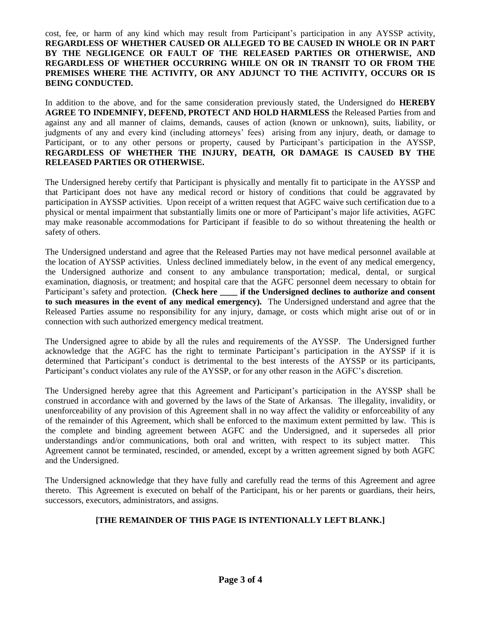cost, fee, or harm of any kind which may result from Participant's participation in any AYSSP activity, **REGARDLESS OF WHETHER CAUSED OR ALLEGED TO BE CAUSED IN WHOLE OR IN PART BY THE NEGLIGENCE OR FAULT OF THE RELEASED PARTIES OR OTHERWISE, AND REGARDLESS OF WHETHER OCCURRING WHILE ON OR IN TRANSIT TO OR FROM THE PREMISES WHERE THE ACTIVITY, OR ANY ADJUNCT TO THE ACTIVITY, OCCURS OR IS BEING CONDUCTED.**

In addition to the above, and for the same consideration previously stated, the Undersigned do **HEREBY AGREE TO INDEMNIFY, DEFEND, PROTECT AND HOLD HARMLESS** the Released Parties from and against any and all manner of claims, demands, causes of action (known or unknown), suits, liability, or judgments of any and every kind (including attorneys' fees) arising from any injury, death, or damage to Participant, or to any other persons or property, caused by Participant's participation in the AYSSP, **REGARDLESS OF WHETHER THE INJURY, DEATH, OR DAMAGE IS CAUSED BY THE RELEASED PARTIES OR OTHERWISE.**

The Undersigned hereby certify that Participant is physically and mentally fit to participate in the AYSSP and that Participant does not have any medical record or history of conditions that could be aggravated by participation in AYSSP activities. Upon receipt of a written request that AGFC waive such certification due to a physical or mental impairment that substantially limits one or more of Participant's major life activities, AGFC may make reasonable accommodations for Participant if feasible to do so without threatening the health or safety of others.

The Undersigned understand and agree that the Released Parties may not have medical personnel available at the location of AYSSP activities. Unless declined immediately below, in the event of any medical emergency, the Undersigned authorize and consent to any ambulance transportation; medical, dental, or surgical examination, diagnosis, or treatment; and hospital care that the AGFC personnel deem necessary to obtain for Participant's safety and protection. **(Check here if the Undersigned declines to authorize and consent to such measures in the event of any medical emergency).** The Undersigned understand and agree that the Released Parties assume no responsibility for any injury, damage, or costs which might arise out of or in connection with such authorized emergency medical treatment.

The Undersigned agree to abide by all the rules and requirements of the AYSSP. The Undersigned further acknowledge that the AGFC has the right to terminate Participant's participation in the AYSSP if it is determined that Participant's conduct is detrimental to the best interests of the AYSSP or its participants, Participant's conduct violates any rule of the AYSSP, or for any other reason in the AGFC's discretion.

The Undersigned hereby agree that this Agreement and Participant's participation in the AYSSP shall be construed in accordance with and governed by the laws of the State of Arkansas. The illegality, invalidity, or unenforceability of any provision of this Agreement shall in no way affect the validity or enforceability of any of the remainder of this Agreement, which shall be enforced to the maximum extent permitted by law. This is the complete and binding agreement between AGFC and the Undersigned, and it supersedes all prior understandings and/or communications, both oral and written, with respect to its subject matter. This Agreement cannot be terminated, rescinded, or amended, except by a written agreement signed by both AGFC and the Undersigned.

The Undersigned acknowledge that they have fully and carefully read the terms of this Agreement and agree thereto. This Agreement is executed on behalf of the Participant, his or her parents or guardians, their heirs, successors, executors, administrators, and assigns.

### **[THE REMAINDER OF THIS PAGE IS INTENTIONALLY LEFT BLANK.]**